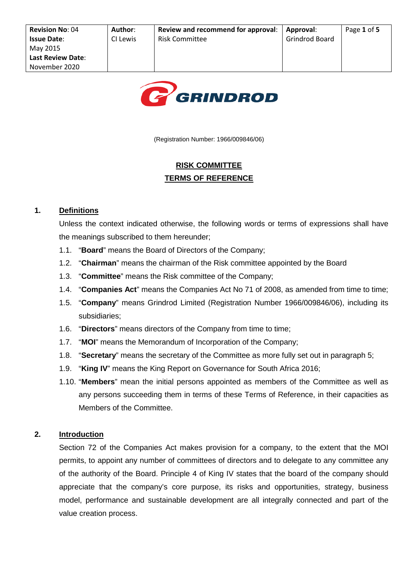

(Registration Number: 1966/009846/06)

# **RISK COMMITTEE TERMS OF REFERENCE**

## **1. Definitions**

Unless the context indicated otherwise, the following words or terms of expressions shall have the meanings subscribed to them hereunder;

- 1.1. "**Board**" means the Board of Directors of the Company;
- 1.2. "**Chairman**" means the chairman of the Risk committee appointed by the Board
- 1.3. "**Committee**" means the Risk committee of the Company;
- 1.4. "**Companies Act**" means the Companies Act No 71 of 2008, as amended from time to time;
- 1.5. "**Company**" means Grindrod Limited (Registration Number 1966/009846/06), including its subsidiaries;
- 1.6. "**Directors**" means directors of the Company from time to time;
- 1.7. "**MOI**" means the Memorandum of Incorporation of the Company;
- 1.8. "**Secretary**" means the secretary of the Committee as more fully set out in paragraph 5;
- 1.9. "**King IV**" means the King Report on Governance for South Africa 2016;
- 1.10. "**Members**" mean the initial persons appointed as members of the Committee as well as any persons succeeding them in terms of these Terms of Reference, in their capacities as Members of the Committee.

# **2. Introduction**

Section 72 of the Companies Act makes provision for a company, to the extent that the MOI permits, to appoint any number of committees of directors and to delegate to any committee any of the authority of the Board. Principle 4 of King IV states that the board of the company should appreciate that the company's core purpose, its risks and opportunities, strategy, business model, performance and sustainable development are all integrally connected and part of the value creation process.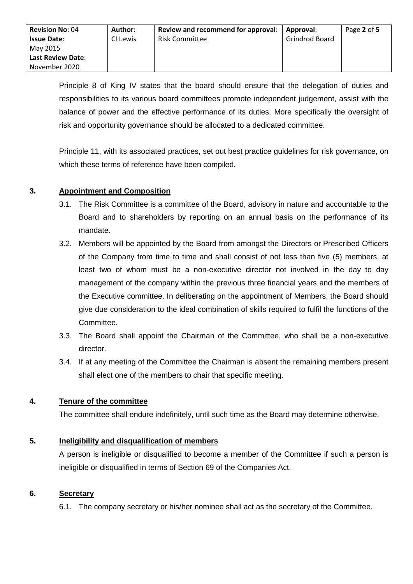Principle 8 of King IV states that the board should ensure that the delegation of duties and responsibilities to its various board committees promote independent judgement, assist with the balance of power and the effective performance of its duties. More specifically the oversight of risk and opportunity governance should be allocated to a dedicated committee.

Principle 11, with its associated practices, set out best practice guidelines for risk governance, on which these terms of reference have been compiled.

## **3. Appointment and Composition**

- 3.1. The Risk Committee is a committee of the Board, advisory in nature and accountable to the Board and to shareholders by reporting on an annual basis on the performance of its mandate.
- 3.2. Members will be appointed by the Board from amongst the Directors or Prescribed Officers of the Company from time to time and shall consist of not less than five (5) members, at least two of whom must be a non-executive director not involved in the day to day management of the company within the previous three financial years and the members of the Executive committee. In deliberating on the appointment of Members, the Board should give due consideration to the ideal combination of skills required to fulfil the functions of the Committee.
- 3.3. The Board shall appoint the Chairman of the Committee, who shall be a non-executive director.
- 3.4. If at any meeting of the Committee the Chairman is absent the remaining members present shall elect one of the members to chair that specific meeting.

#### **4. Tenure of the committee**

The committee shall endure indefinitely, until such time as the Board may determine otherwise.

# **5. Ineligibility and disqualification of members**

A person is ineligible or disqualified to become a member of the Committee if such a person is ineligible or disqualified in terms of Section 69 of the Companies Act.

#### **6. Secretary**

6.1. The company secretary or his/her nominee shall act as the secretary of the Committee.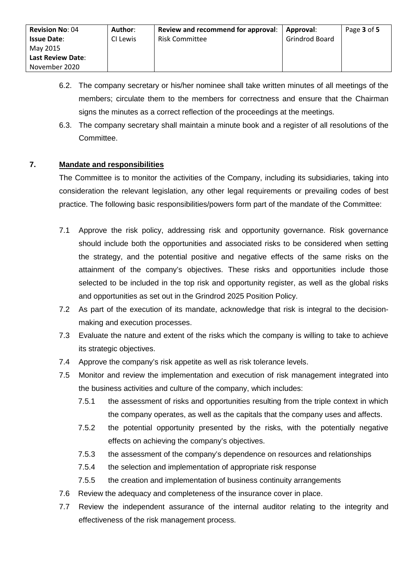- 6.2. The company secretary or his/her nominee shall take written minutes of all meetings of the members; circulate them to the members for correctness and ensure that the Chairman signs the minutes as a correct reflection of the proceedings at the meetings.
- 6.3. The company secretary shall maintain a minute book and a register of all resolutions of the Committee.

#### **7. Mandate and responsibilities**

The Committee is to monitor the activities of the Company, including its subsidiaries, taking into consideration the relevant legislation, any other legal requirements or prevailing codes of best practice. The following basic responsibilities/powers form part of the mandate of the Committee:

- 7.1 Approve the risk policy, addressing risk and opportunity governance. Risk governance should include both the opportunities and associated risks to be considered when setting the strategy, and the potential positive and negative effects of the same risks on the attainment of the company's objectives. These risks and opportunities include those selected to be included in the top risk and opportunity register, as well as the global risks and opportunities as set out in the Grindrod 2025 Position Policy.
- 7.2 As part of the execution of its mandate, acknowledge that risk is integral to the decisionmaking and execution processes.
- 7.3 Evaluate the nature and extent of the risks which the company is willing to take to achieve its strategic objectives.
- 7.4 Approve the company's risk appetite as well as risk tolerance levels.
- 7.5 Monitor and review the implementation and execution of risk management integrated into the business activities and culture of the company, which includes:
	- 7.5.1 the assessment of risks and opportunities resulting from the triple context in which the company operates, as well as the capitals that the company uses and affects.
	- 7.5.2 the potential opportunity presented by the risks, with the potentially negative effects on achieving the company's objectives.
	- 7.5.3 the assessment of the company's dependence on resources and relationships
	- 7.5.4 the selection and implementation of appropriate risk response
	- 7.5.5 the creation and implementation of business continuity arrangements
- 7.6 Review the adequacy and completeness of the insurance cover in place.
- 7.7 Review the independent assurance of the internal auditor relating to the integrity and effectiveness of the risk management process.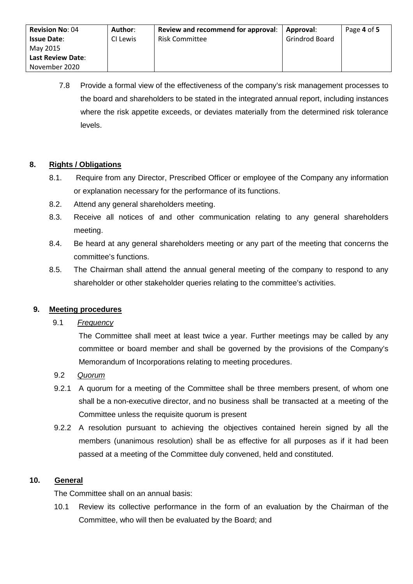7.8 Provide a formal view of the effectiveness of the company's risk management processes to the board and shareholders to be stated in the integrated annual report, including instances where the risk appetite exceeds, or deviates materially from the determined risk tolerance levels.

#### **8. Rights / Obligations**

- 8.1. Require from any Director, Prescribed Officer or employee of the Company any information or explanation necessary for the performance of its functions.
- 8.2. Attend any general shareholders meeting.
- 8.3. Receive all notices of and other communication relating to any general shareholders meeting.
- 8.4. Be heard at any general shareholders meeting or any part of the meeting that concerns the committee's functions.
- 8.5. The Chairman shall attend the annual general meeting of the company to respond to any shareholder or other stakeholder queries relating to the committee's activities.

#### **9. Meeting procedures**

## 9.1 *Frequency*

The Committee shall meet at least twice a year. Further meetings may be called by any committee or board member and shall be governed by the provisions of the Company's Memorandum of Incorporations relating to meeting procedures.

- 9.2 *Quorum*
- 9.2.1 A quorum for a meeting of the Committee shall be three members present, of whom one shall be a non-executive director, and no business shall be transacted at a meeting of the Committee unless the requisite quorum is present
- 9.2.2 A resolution pursuant to achieving the objectives contained herein signed by all the members (unanimous resolution) shall be as effective for all purposes as if it had been passed at a meeting of the Committee duly convened, held and constituted.

#### **10. General**

The Committee shall on an annual basis:

10.1 Review its collective performance in the form of an evaluation by the Chairman of the Committee, who will then be evaluated by the Board; and